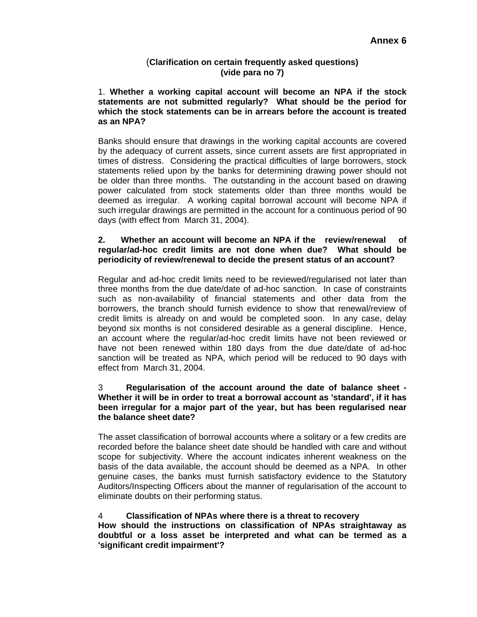## (**Clarification on certain frequently asked questions) (vide para no 7)**

1. **Whether a working capital account will become an NPA if the stock statements are not submitted regularly? What should be the period for which the stock statements can be in arrears before the account is treated as an NPA?** 

Banks should ensure that drawings in the working capital accounts are covered by the adequacy of current assets, since current assets are first appropriated in times of distress. Considering the practical difficulties of large borrowers, stock statements relied upon by the banks for determining drawing power should not be older than three months. The outstanding in the account based on drawing power calculated from stock statements older than three months would be deemed as irregular. A working capital borrowal account will become NPA if such irregular drawings are permitted in the account for a continuous period of 90 days (with effect from March 31, 2004).

### **2. Whether an account will become an NPA if the review/renewal of regular/ad-hoc credit limits are not done when due? What should be periodicity of review/renewal to decide the present status of an account?**

Regular and ad-hoc credit limits need to be reviewed/regularised not later than three months from the due date/date of ad-hoc sanction. In case of constraints such as non-availability of financial statements and other data from the borrowers, the branch should furnish evidence to show that renewal/review of credit limits is already on and would be completed soon. In any case, delay beyond six months is not considered desirable as a general discipline. Hence, an account where the regular/ad-hoc credit limits have not been reviewed or have not been renewed within 180 days from the due date/date of ad-hoc sanction will be treated as NPA, which period will be reduced to 90 days with effect from March 31, 2004.

## 3 **Regularisation of the account around the date of balance sheet - Whether it will be in order to treat a borrowal account as 'standard', if it has been irregular for a major part of the year, but has been regularised near the balance sheet date?**

The asset classification of borrowal accounts where a solitary or a few credits are recorded before the balance sheet date should be handled with care and without scope for subjectivity. Where the account indicates inherent weakness on the basis of the data available, the account should be deemed as a NPA. In other genuine cases, the banks must furnish satisfactory evidence to the Statutory Auditors/Inspecting Officers about the manner of regularisation of the account to eliminate doubts on their performing status.

### 4 **Classification of NPAs where there is a threat to recovery**

**How should the instructions on classification of NPAs straightaway as doubtful or a loss asset be interpreted and what can be termed as a 'significant credit impairment'?**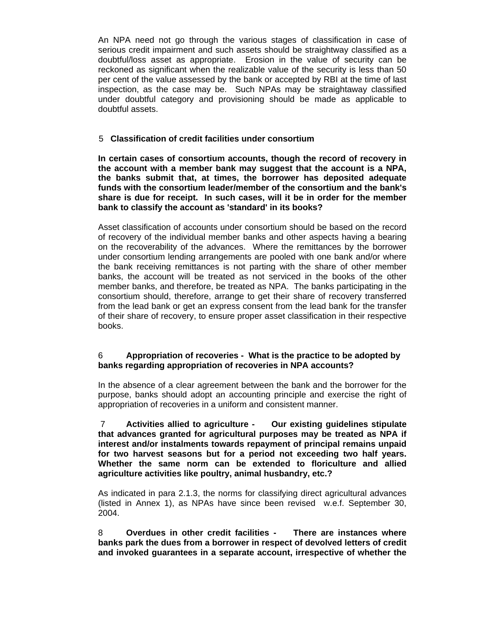An NPA need not go through the various stages of classification in case of serious credit impairment and such assets should be straightway classified as a doubtful/loss asset as appropriate. Erosion in the value of security can be reckoned as significant when the realizable value of the security is less than 50 per cent of the value assessed by the bank or accepted by RBI at the time of last inspection, as the case may be. Such NPAs may be straightaway classified under doubtful category and provisioning should be made as applicable to doubtful assets.

## 5 **Classification of credit facilities under consortium**

**In certain cases of consortium accounts, though the record of recovery in the account with a member bank may suggest that the account is a NPA, the banks submit that, at times, the borrower has deposited adequate funds with the consortium leader/member of the consortium and the bank's share is due for receipt. In such cases, will it be in order for the member bank to classify the account as 'standard' in its books?** 

Asset classification of accounts under consortium should be based on the record of recovery of the individual member banks and other aspects having a bearing on the recoverability of the advances. Where the remittances by the borrower under consortium lending arrangements are pooled with one bank and/or where the bank receiving remittances is not parting with the share of other member banks, the account will be treated as not serviced in the books of the other member banks, and therefore, be treated as NPA. The banks participating in the consortium should, therefore, arrange to get their share of recovery transferred from the lead bank or get an express consent from the lead bank for the transfer of their share of recovery, to ensure proper asset classification in their respective books.

# 6 **Appropriation of recoveries - What is the practice to be adopted by banks regarding appropriation of recoveries in NPA accounts?**

In the absence of a clear agreement between the bank and the borrower for the purpose, banks should adopt an accounting principle and exercise the right of appropriation of recoveries in a uniform and consistent manner.

 7 **Activities allied to agriculture - Our existing guidelines stipulate that advances granted for agricultural purposes may be treated as NPA if interest and/or instalments towards repayment of principal remains unpaid for two harvest seasons but for a period not exceeding two half years. Whether the same norm can be extended to floriculture and allied agriculture activities like poultry, animal husbandry, etc.?** 

As indicated in para 2.1.3, the norms for classifying direct agricultural advances (listed in Annex 1), as NPAs have since been revised w.e.f. September 30, 2004.

8 **Overdues in other credit facilities - There are instances where banks park the dues from a borrower in respect of devolved letters of credit and invoked guarantees in a separate account, irrespective of whether the**